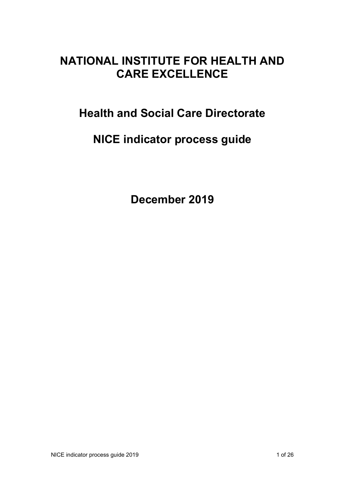# **NATIONAL INSTITUTE FOR HEALTH AND CARE EXCELLENCE**

# **Health and Social Care Directorate**

# **NICE indicator process guide**

**December 2019**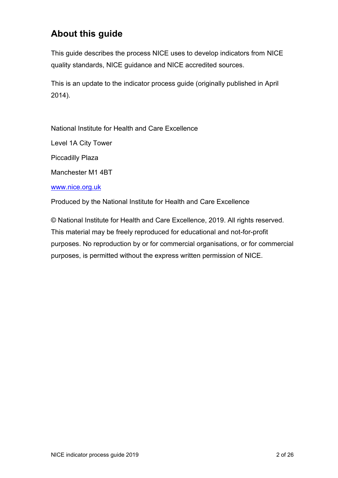## **About this guide**

This guide describes the process NICE uses to develop indicators from NICE quality standards, NICE guidance and NICE accredited sources.

This is an update to the indicator process guide (originally published in April 2014).

National Institute for Health and Care Excellence

Level 1A City Tower

Piccadilly Plaza

Manchester M1 4BT

[www.nice.org.uk](http://www.nice.org.uk/)

Produced by the National Institute for Health and Care Excellence

© National Institute for Health and Care Excellence, 2019. All rights reserved. This material may be freely reproduced for educational and not-for-profit purposes. No reproduction by or for commercial organisations, or for commercial purposes, is permitted without the express written permission of NICE.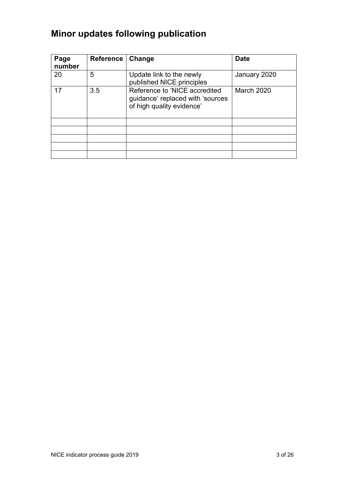# **Minor updates following publication**

| Page<br>number | <b>Reference</b> | Change                                                                                         | <b>Date</b>       |
|----------------|------------------|------------------------------------------------------------------------------------------------|-------------------|
| 20             | 5                | Update link to the newly<br>published NICE principles                                          | January 2020      |
| 17             | 3.5              | Reference to 'NICE accredited<br>guidance' replaced with 'sources<br>of high quality evidence' | <b>March 2020</b> |
|                |                  |                                                                                                |                   |
|                |                  |                                                                                                |                   |
|                |                  |                                                                                                |                   |
|                |                  |                                                                                                |                   |
|                |                  |                                                                                                |                   |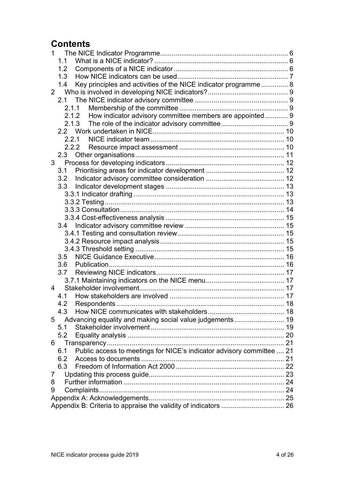## **Contents**

| 1                                                                            |  |  |  |
|------------------------------------------------------------------------------|--|--|--|
| 1.1                                                                          |  |  |  |
| 1.2                                                                          |  |  |  |
| 1.3                                                                          |  |  |  |
| Key principles and activities of the NICE indicator programme  8<br>1.4      |  |  |  |
| $\overline{2}$                                                               |  |  |  |
| 2.1                                                                          |  |  |  |
| 2.1.1                                                                        |  |  |  |
| 2.1.2 How indicator advisory committee members are appointed  9              |  |  |  |
| 2.1.3                                                                        |  |  |  |
|                                                                              |  |  |  |
| 2.2.1                                                                        |  |  |  |
| 2.2.2                                                                        |  |  |  |
| 2.3                                                                          |  |  |  |
|                                                                              |  |  |  |
| 3.1                                                                          |  |  |  |
| 3.2                                                                          |  |  |  |
| 3.3                                                                          |  |  |  |
|                                                                              |  |  |  |
|                                                                              |  |  |  |
|                                                                              |  |  |  |
|                                                                              |  |  |  |
|                                                                              |  |  |  |
|                                                                              |  |  |  |
|                                                                              |  |  |  |
| 3.5                                                                          |  |  |  |
| 3.6                                                                          |  |  |  |
|                                                                              |  |  |  |
|                                                                              |  |  |  |
| 4                                                                            |  |  |  |
|                                                                              |  |  |  |
| 4.2                                                                          |  |  |  |
| 4.3                                                                          |  |  |  |
| Advancing equality and making social value judgements  19<br>5               |  |  |  |
| 5.1                                                                          |  |  |  |
| 5.2                                                                          |  |  |  |
| 6                                                                            |  |  |  |
| Public access to meetings for NICE's indicator advisory committee  21<br>6.1 |  |  |  |
| 6.2                                                                          |  |  |  |
| 6.3                                                                          |  |  |  |
| 7                                                                            |  |  |  |
| 8                                                                            |  |  |  |
| 9                                                                            |  |  |  |
|                                                                              |  |  |  |
|                                                                              |  |  |  |
|                                                                              |  |  |  |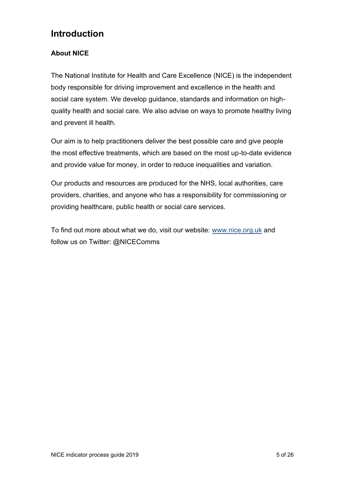## **Introduction**

#### **About NICE**

The National Institute for Health and Care Excellence (NICE) is the independent body responsible for driving improvement and excellence in the health and social care system. We develop guidance, standards and information on highquality health and social care. We also advise on ways to promote healthy living and prevent ill health.

Our aim is to help practitioners deliver the best possible care and give people the most effective treatments, which are based on the most up-to-date evidence and provide value for money, in order to reduce inequalities and variation.

Our products and resources are produced for the NHS, local authorities, care providers, charities, and anyone who has a responsibility for commissioning or providing healthcare, public health or social care services.

To find out more about what we do, visit our website: [www.nice.org.uk](http://www.nice.org.uk/) and follow us on Twitter: @NICEComms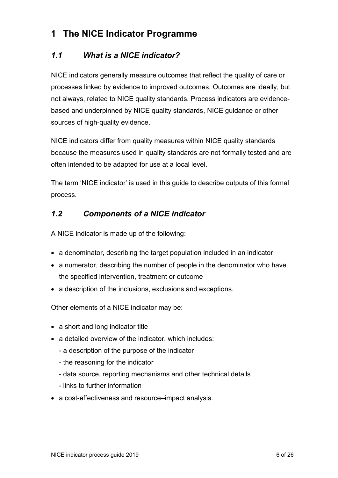## <span id="page-5-0"></span>**1 The NICE Indicator Programme**

### <span id="page-5-1"></span>*1.1 What is a NICE indicator?*

NICE indicators generally measure outcomes that reflect the quality of care or processes linked by evidence to improved outcomes. Outcomes are ideally, but not always, related to NICE quality standards. Process indicators are evidencebased and underpinned by NICE quality standards, NICE guidance or other sources of high-quality evidence.

NICE indicators differ from quality measures within NICE quality standards because the measures used in quality standards are not formally tested and are often intended to be adapted for use at a local level.

The term 'NICE indicator' is used in this guide to describe outputs of this formal process.

### <span id="page-5-2"></span>*1.2 Components of a NICE indicator*

A NICE indicator is made up of the following:

- a denominator, describing the target population included in an indicator
- a numerator, describing the number of people in the denominator who have the specified intervention, treatment or outcome
- a description of the inclusions, exclusions and exceptions.

Other elements of a NICE indicator may be:

- a short and long indicator title
- a detailed overview of the indicator, which includes:
	- a description of the purpose of the indicator
	- the reasoning for the indicator
	- data source, reporting mechanisms and other technical details
	- links to further information
- a cost-effectiveness and resource–impact analysis.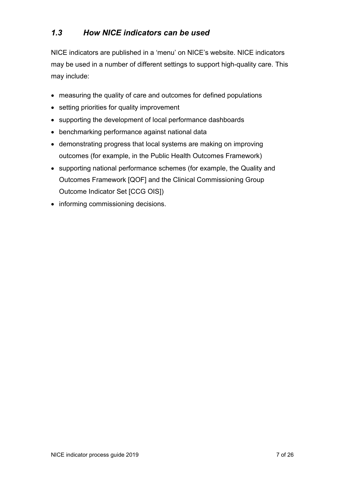### <span id="page-6-0"></span>*1.3 How NICE indicators can be used*

NICE indicators are published in a 'menu' on NICE's website. NICE indicators may be used in a number of different settings to support high-quality care. This may include:

- measuring the quality of care and outcomes for defined populations
- setting priorities for quality improvement
- supporting the development of local performance dashboards
- benchmarking performance against national data
- demonstrating progress that local systems are making on improving outcomes (for example, in the Public Health Outcomes Framework)
- supporting national performance schemes (for example, the Quality and Outcomes Framework [QOF] and the Clinical Commissioning Group Outcome Indicator Set [CCG OIS])
- informing commissioning decisions.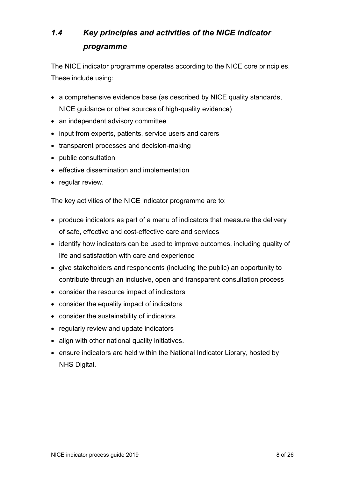## <span id="page-7-0"></span>*1.4 Key principles and activities of the NICE indicator programme*

The NICE indicator programme operates according to the NICE core principles. These include using:

- a comprehensive evidence base (as described by NICE quality standards, NICE guidance or other sources of high-quality evidence)
- an independent advisory committee
- input from experts, patients, service users and carers
- transparent processes and decision-making
- public consultation
- effective dissemination and implementation
- regular review.

The key activities of the NICE indicator programme are to:

- produce indicators as part of a menu of indicators that measure the delivery of safe, effective and cost-effective care and services
- identify how indicators can be used to improve outcomes, including quality of life and satisfaction with care and experience
- give stakeholders and respondents (including the public) an opportunity to contribute through an inclusive, open and transparent consultation process
- consider the resource impact of indicators
- consider the equality impact of indicators
- consider the sustainability of indicators
- regularly review and update indicators
- align with other national quality initiatives.
- ensure indicators are held within the National Indicator Library, hosted by NHS Digital.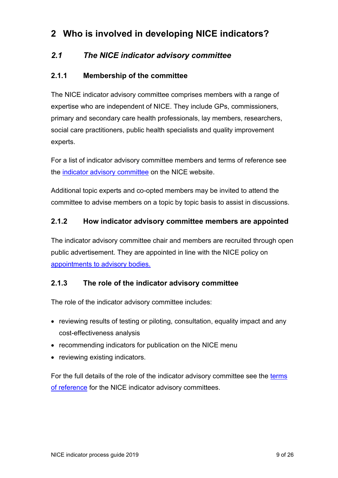## <span id="page-8-0"></span>**2 Who is involved in developing NICE indicators?**

### <span id="page-8-1"></span>*2.1 The NICE indicator advisory committee*

#### <span id="page-8-2"></span>**2.1.1 Membership of the committee**

The NICE indicator advisory committee comprises members with a range of expertise who are independent of NICE. They include GPs, commissioners, primary and secondary care health professionals, lay members, researchers, social care practitioners, public health specialists and quality improvement experts.

For a list of indicator advisory committee members and terms of reference see the [indicator advisory committee](https://www.nice.org.uk/get-involved/meetings-in-public/indicator-advisory-committee) on the NICE website.

Additional topic experts and co-opted members may be invited to attend the committee to advise members on a topic by topic basis to assist in discussions.

#### <span id="page-8-3"></span>**2.1.2 How indicator advisory committee members are appointed**

The indicator advisory committee chair and members are recruited through open public advertisement. They are appointed in line with the NICE policy on [appointments to advisory bodies.](https://www.nice.org.uk/about/who-we-are/policies-and-procedures)

#### <span id="page-8-4"></span>**2.1.3 The role of the indicator advisory committee**

The role of the indicator advisory committee includes:

- reviewing results of testing or piloting, consultation, equality impact and any cost-effectiveness analysis
- recommending indicators for publication on the NICE menu
- reviewing existing indicators.

For the full details of the role of the indicator advisory committee see the [terms](https://www.nice.org.uk/get-involved/meetings-in-public/indicator-advisory-committee)  [of reference](https://www.nice.org.uk/get-involved/meetings-in-public/indicator-advisory-committee) for the NICE indicator advisory committees.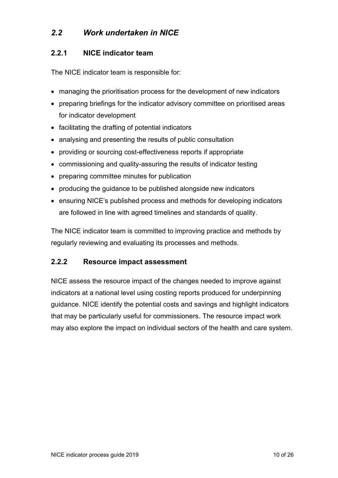### <span id="page-9-0"></span>*2.2 Work undertaken in NICE*

#### <span id="page-9-1"></span>**2.2.1 NICE indicator team**

The NICE indicator team is responsible for:

- managing the prioritisation process for the development of new indicators
- preparing briefings for the indicator advisory committee on prioritised areas for indicator development
- facilitating the drafting of potential indicators
- analysing and presenting the results of public consultation
- providing or sourcing cost-effectiveness reports if appropriate
- commissioning and quality-assuring the results of indicator testing
- preparing committee minutes for publication
- producing the guidance to be published alongside new indicators
- ensuring NICE's published process and methods for developing indicators are followed in line with agreed timelines and standards of quality.

The NICE indicator team is committed to improving practice and methods by regularly reviewing and evaluating its processes and methods.

#### <span id="page-9-2"></span>**2.2.2 Resource impact assessment**

NICE assess the resource impact of the changes needed to improve against indicators at a national level using costing reports produced for underpinning guidance. NICE identify the potential costs and savings and highlight indicators that may be particularly useful for commissioners. The resource impact work may also explore the impact on individual sectors of the health and care system.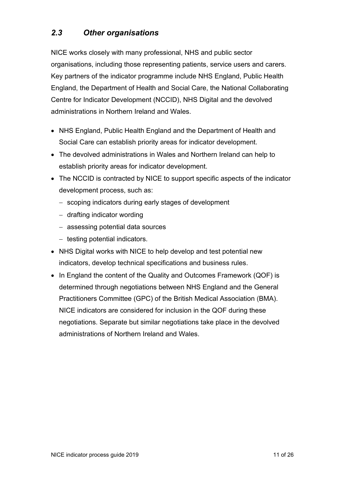### <span id="page-10-0"></span>*2.3 Other organisations*

NICE works closely with many professional, NHS and public sector organisations, including those representing patients, service users and carers. Key partners of the indicator programme include NHS England, Public Health England, the Department of Health and Social Care, the National Collaborating Centre for Indicator Development (NCCID), NHS Digital and the devolved administrations in Northern Ireland and Wales.

- NHS England, Public Health England and the Department of Health and Social Care can establish priority areas for indicator development.
- The devolved administrations in Wales and Northern Ireland can help to establish priority areas for indicator development.
- The NCCID is contracted by NICE to support specific aspects of the indicator development process, such as:
	- − scoping indicators during early stages of development
	- − drafting indicator wording
	- − assessing potential data sources
	- − testing potential indicators.
- NHS Digital works with NICE to help develop and test potential new indicators, develop technical specifications and business rules.
- In England the content of the Quality and Outcomes Framework (QOF) is determined through negotiations between NHS England and the General Practitioners Committee (GPC) of the British Medical Association (BMA). NICE indicators are considered for inclusion in the QOF during these negotiations. Separate but similar negotiations take place in the devolved administrations of Northern Ireland and Wales.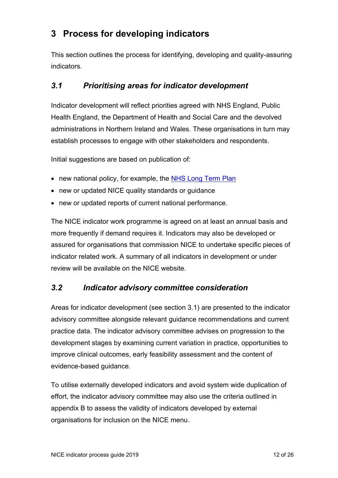## <span id="page-11-0"></span>**3 Process for developing indicators**

This section outlines the process for identifying, developing and quality-assuring indicators.

### <span id="page-11-1"></span>*3.1 Prioritising areas for indicator development*

Indicator development will reflect priorities agreed with NHS England, Public Health England, the Department of Health and Social Care and the devolved administrations in Northern Ireland and Wales. These organisations in turn may establish processes to engage with other stakeholders and respondents.

Initial suggestions are based on publication of:

- new national policy, for example, the [NHS Long Term Plan](https://www.england.nhs.uk/long-term-plan/)
- new or updated NICE quality standards or guidance
- new or updated reports of current national performance.

The NICE indicator work programme is agreed on at least an annual basis and more frequently if demand requires it. Indicators may also be developed or assured for organisations that commission NICE to undertake specific pieces of indicator related work. A summary of all indicators in development or under review will be available on the NICE website.

### <span id="page-11-2"></span>*3.2 Indicator advisory committee consideration*

Areas for indicator development (see section 3.1) are presented to the indicator advisory committee alongside relevant guidance recommendations and current practice data. The indicator advisory committee advises on progression to the development stages by examining current variation in practice, opportunities to improve clinical outcomes, early feasibility assessment and the content of evidence-based guidance.

To utilise externally developed indicators and avoid system wide duplication of effort, the indicator advisory committee may also use the criteria outlined in appendix B to assess the validity of indicators developed by external organisations for inclusion on the NICE menu.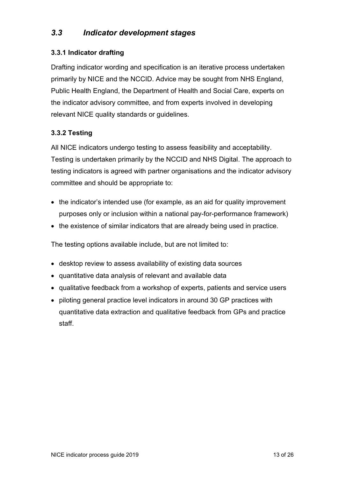### <span id="page-12-0"></span>*3.3 Indicator development stages*

#### <span id="page-12-1"></span>**3.3.1 Indicator drafting**

Drafting indicator wording and specification is an iterative process undertaken primarily by NICE and the NCCID. Advice may be sought from NHS England, Public Health England, the Department of Health and Social Care, experts on the indicator advisory committee, and from experts involved in developing relevant NICE quality standards or guidelines.

#### <span id="page-12-2"></span>**3.3.2 Testing**

All NICE indicators undergo testing to assess feasibility and acceptability. Testing is undertaken primarily by the NCCID and NHS Digital. The approach to testing indicators is agreed with partner organisations and the indicator advisory committee and should be appropriate to:

- the indicator's intended use (for example, as an aid for quality improvement purposes only or inclusion within a national pay-for-performance framework)
- the existence of similar indicators that are already being used in practice.

The testing options available include, but are not limited to:

- desktop review to assess availability of existing data sources
- quantitative data analysis of relevant and available data
- qualitative feedback from a workshop of experts, patients and service users
- piloting general practice level indicators in around 30 GP practices with quantitative data extraction and qualitative feedback from GPs and practice staff.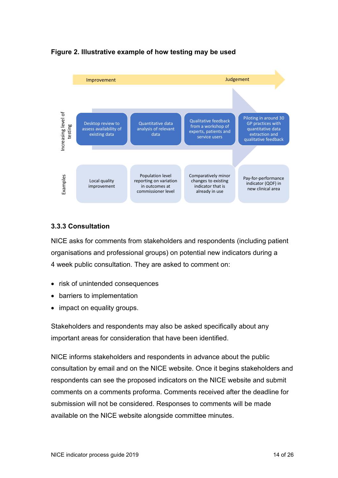

#### **Figure 2. Illustrative example of how testing may be used**

#### <span id="page-13-0"></span>**3.3.3 Consultation**

NICE asks for comments from stakeholders and respondents (including patient organisations and professional groups) on potential new indicators during a 4 week public consultation. They are asked to comment on:

- risk of unintended consequences
- barriers to implementation
- impact on equality groups.

Stakeholders and respondents may also be asked specifically about any important areas for consideration that have been identified.

NICE informs stakeholders and respondents in advance about the public consultation by email and on the NICE website. Once it begins stakeholders and respondents can see the proposed indicators on the NICE website and submit comments on a comments proforma. Comments received after the deadline for submission will not be considered. Responses to comments will be made available on the NICE website alongside committee minutes.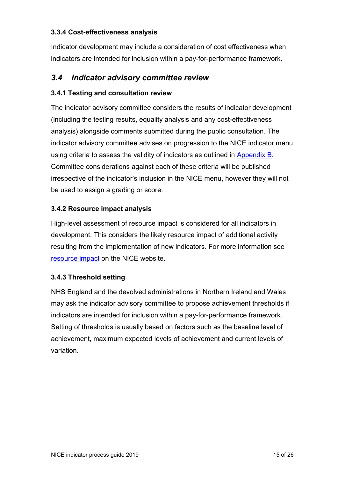#### <span id="page-14-0"></span>**3.3.4 Cost-effectiveness analysis**

Indicator development may include a consideration of cost effectiveness when indicators are intended for inclusion within a pay-for-performance framework.

#### <span id="page-14-1"></span>*3.4 Indicator advisory committee review*

#### <span id="page-14-2"></span>**3.4.1 Testing and consultation review**

The indicator advisory committee considers the results of indicator development (including the testing results, equality analysis and any cost-effectiveness analysis) alongside comments submitted during the public consultation. The indicator advisory committee advises on progression to the NICE indicator menu using criteria to assess the validity of indicators as outlined in [Appendix](#page-24-1) B. Committee considerations against each of these criteria will be published irrespective of the indicator's inclusion in the NICE menu, however they will not be used to assign a grading or score.

#### <span id="page-14-3"></span>**3.4.2 Resource impact analysis**

High-level assessment of resource impact is considered for all indicators in development. This considers the likely resource impact of additional activity resulting from the implementation of new indicators. For more information see [resource impact](https://www.nice.org.uk/about/what-we-do/into-practice/resource-impact-assessment) on the NICE website.

#### <span id="page-14-4"></span>**3.4.3 Threshold setting**

NHS England and the devolved administrations in Northern Ireland and Wales may ask the indicator advisory committee to propose achievement thresholds if indicators are intended for inclusion within a pay-for-performance framework. Setting of thresholds is usually based on factors such as the baseline level of achievement, maximum expected levels of achievement and current levels of variation.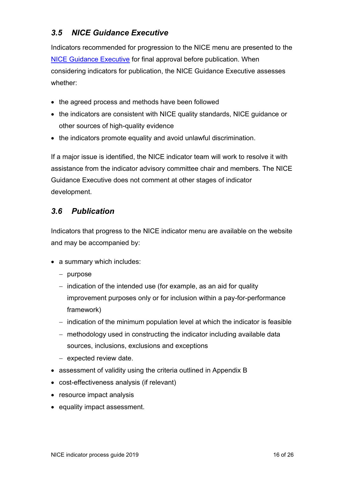### <span id="page-15-0"></span>*3.5 NICE Guidance Executive*

Indicators recommended for progression to the NICE menu are presented to the [NICE Guidance Executive](https://www.nice.org.uk/about/who-we-are/guidance-executive) for final approval before publication. When considering indicators for publication, the NICE Guidance Executive assesses whether:

- the agreed process and methods have been followed
- the indicators are consistent with NICE quality standards, NICE guidance or other sources of high-quality evidence
- the indicators promote equality and avoid unlawful discrimination.

If a major issue is identified, the NICE indicator team will work to resolve it with assistance from the indicator advisory committee chair and members. The NICE Guidance Executive does not comment at other stages of indicator development.

### <span id="page-15-1"></span>*3.6 Publication*

Indicators that progress to the NICE indicator menu are available on the website and may be accompanied by:

- a summary which includes:
	- − purpose
	- − indication of the intended use (for example, as an aid for quality improvement purposes only or for inclusion within a pay-for-performance framework)
	- − indication of the minimum population level at which the indicator is feasible
	- − methodology used in constructing the indicator including available data sources, inclusions, exclusions and exceptions
	- − expected review date.
- assessment of validity using the criteria outlined in Appendix B
- cost-effectiveness analysis (if relevant)
- resource impact analysis
- equality impact assessment.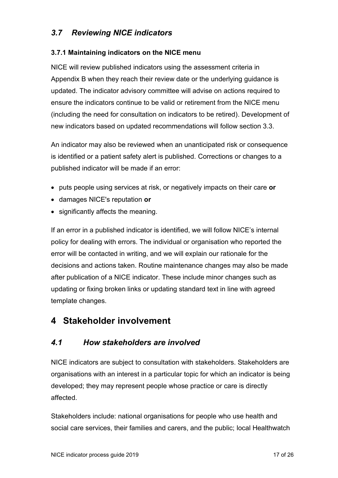### <span id="page-16-0"></span>*3.7 Reviewing NICE indicators*

#### <span id="page-16-1"></span>**3.7.1 Maintaining indicators on the NICE menu**

NICE will review published indicators using the assessment criteria in Appendix B when they reach their review date or the underlying guidance is updated. The indicator advisory committee will advise on actions required to ensure the indicators continue to be valid or retirement from the NICE menu (including the need for consultation on indicators to be retired). Development of new indicators based on updated recommendations will follow section 3.3.

An indicator may also be reviewed when an unanticipated risk or consequence is identified or a patient safety alert is published. Corrections or changes to a published indicator will be made if an error:

- puts people using services at risk, or negatively impacts on their care **or**
- damages NICE's reputation **or**
- significantly affects the meaning.

If an error in a published indicator is identified, we will follow NICE's internal policy for dealing with errors. The individual or organisation who reported the error will be contacted in writing, and we will explain our rationale for the decisions and actions taken. Routine maintenance changes may also be made after publication of a NICE indicator. These include minor changes such as updating or fixing broken links or updating standard text in line with agreed template changes.

## <span id="page-16-2"></span>**4 Stakeholder involvement**

### <span id="page-16-3"></span>*4.1 How stakeholders are involved*

NICE indicators are subject to consultation with stakeholders. Stakeholders are organisations with an interest in a particular topic for which an indicator is being developed; they may represent people whose practice or care is directly affected.

Stakeholders include: national organisations for people who use health and social care services, their families and carers, and the public; local Healthwatch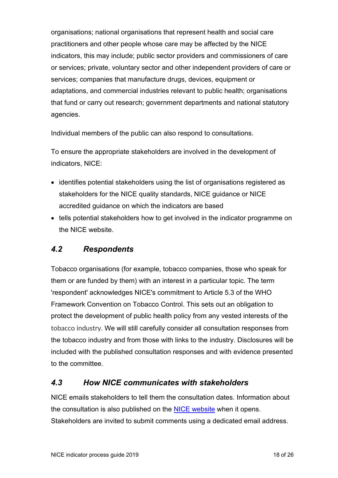organisations; national organisations that represent health and social care practitioners and other people whose care may be affected by the NICE indicators, this may include; public sector providers and commissioners of care or services; private, voluntary sector and other independent providers of care or services; companies that manufacture drugs, devices, equipment or adaptations, and commercial industries relevant to public health; organisations that fund or carry out research; government departments and national statutory agencies.

Individual members of the public can also respond to consultations.

To ensure the appropriate stakeholders are involved in the development of indicators, NICE:

- identifies potential stakeholders using the list of organisations registered as stakeholders for the NICE quality standards, NICE guidance or NICE accredited guidance on which the indicators are based
- tells potential stakeholders how to get involved in the indicator programme on the NICE website.

### <span id="page-17-0"></span>*4.2 Respondents*

Tobacco organisations (for example, tobacco companies, those who speak for them or are funded by them) with an interest in a particular topic. The term 'respondent' acknowledges NICE's commitment to Article 5.3 of the WHO Framework Convention on Tobacco Control. This sets out an obligation to protect the development of public health policy from any vested interests of the tobacco industry. We will still carefully consider all consultation responses from the tobacco industry and from those with links to the industry. Disclosures will be included with the published consultation responses and with evidence presented to the committee.

### <span id="page-17-1"></span>*4.3 How NICE communicates with stakeholders*

NICE emails stakeholders to tell them the consultation dates. Information about the consultation is also published on the [NICE website](http://www.nice.org.uk/) when it opens. Stakeholders are invited to submit comments using a dedicated email address.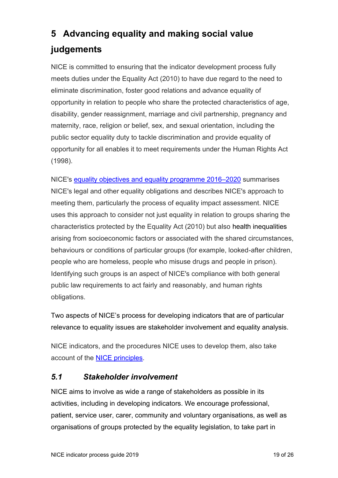# <span id="page-18-0"></span>**5 Advancing equality and making social value judgements**

NICE is committed to ensuring that the indicator development process fully meets duties under the Equality Act (2010) to have due regard to the need to eliminate discrimination, foster good relations and advance equality of opportunity in relation to people who share the protected characteristics of age, disability, gender reassignment, marriage and civil partnership, pregnancy and maternity, race, religion or belief, sex, and sexual orientation, including the public sector equality duty to tackle discrimination and provide equality of opportunity for all enables it to meet requirements under the Human Rights Act (1998).

NICE's [equality objectives and equality programme 2016](https://www.nice.org.uk/About/Who-we-are/Policies-and-procedures/NICE-equality-scheme)–2020 summarises NICE's legal and other equality obligations and describes NICE's approach to meeting them, particularly the process of equality impact assessment. NICE uses this approach to consider not just equality in relation to groups sharing the characteristics protected by the Equality Act (2010) but also health inequalities arising from socioeconomic factors or associated with the shared circumstances, behaviours or conditions of particular groups (for example, looked-after children, people who are homeless, people who misuse drugs and people in prison). Identifying such groups is an aspect of NICE's compliance with both general public law requirements to act fairly and reasonably, and human rights obligations.

Two aspects of NICE's process for developing indicators that are of particular relevance to equality issues are stakeholder involvement and equality analysis.

NICE indicators, and the procedures NICE uses to develop them, also take account of the [NICE principles.](https://www.nice.org.uk/about/who-we-are/our-principles)

### <span id="page-18-1"></span>*5.1 Stakeholder involvement*

NICE aims to involve as wide a range of stakeholders as possible in its activities, including in developing indicators. We encourage professional, patient, service user, carer, community and voluntary organisations, as well as organisations of groups protected by the equality legislation, to take part in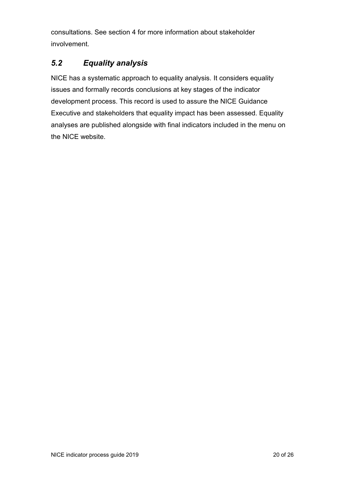consultations. See section 4 for more information about stakeholder involvement.

### <span id="page-19-0"></span>*5.2 Equality analysis*

NICE has a systematic approach to equality analysis. It considers equality issues and formally records conclusions at key stages of the indicator development process. This record is used to assure the NICE Guidance Executive and stakeholders that equality impact has been assessed. Equality analyses are published alongside with final indicators included in the menu on the NICE website.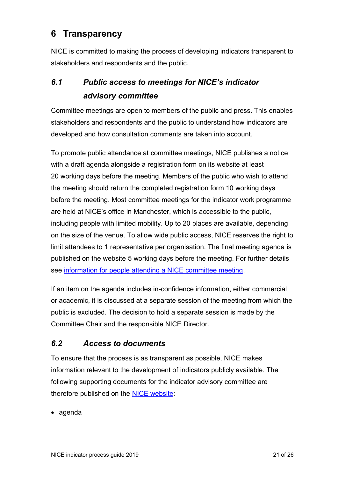## <span id="page-20-0"></span>**6 Transparency**

NICE is committed to making the process of developing indicators transparent to stakeholders and respondents and the public.

## <span id="page-20-1"></span>*6.1 Public access to meetings for NICE's indicator advisory committee*

Committee meetings are open to members of the public and press. This enables stakeholders and respondents and the public to understand how indicators are developed and how consultation comments are taken into account.

To promote public attendance at committee meetings, NICE publishes a notice with a draft agenda alongside a registration form on its website at least 20 working days before the meeting. Members of the public who wish to attend the meeting should return the completed registration form 10 working days before the meeting. Most committee meetings for the indicator work programme are held at NICE's office in Manchester, which is accessible to the public, including people with limited mobility. Up to 20 places are available, depending on the size of the venue. To allow wide public access, NICE reserves the right to limit attendees to 1 representative per organisation. The final meeting agenda is published on the website 5 working days before the meeting. For further details see [information for people attending a NICE committee meeting.](https://www.nice.org.uk/get-involved/meetings-in-public/indicator-advisory-committee)

If an item on the agenda includes in-confidence information, either commercial or academic, it is discussed at a separate session of the meeting from which the public is excluded. The decision to hold a separate session is made by the Committee Chair and the responsible NICE Director.

### <span id="page-20-2"></span>*6.2 Access to documents*

To ensure that the process is as transparent as possible, NICE makes information relevant to the development of indicators publicly available. The following supporting documents for the indicator advisory committee are therefore published on the [NICE website:](https://www.nice.org.uk/get-involved/meetings-in-public/indicator-advisory-committee)

• agenda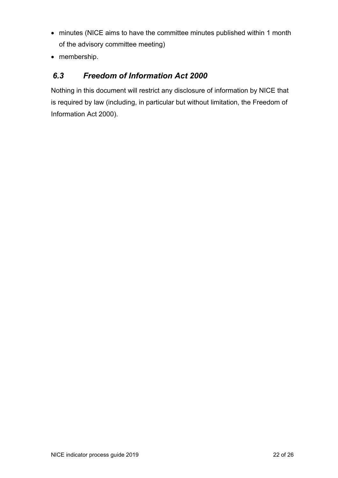- minutes (NICE aims to have the committee minutes published within 1 month of the advisory committee meeting)
- membership.

### <span id="page-21-0"></span>*6.3 Freedom of Information Act 2000*

Nothing in this document will restrict any disclosure of information by NICE that is required by law (including, in particular but without limitation, the Freedom of Information Act 2000).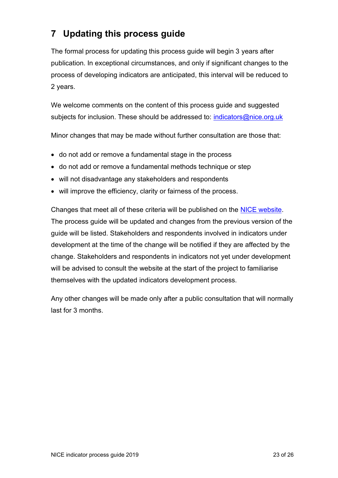## <span id="page-22-0"></span>**7 Updating this process guide**

The formal process for updating this process guide will begin 3 years after publication. In exceptional circumstances, and only if significant changes to the process of developing indicators are anticipated, this interval will be reduced to 2 years.

We welcome comments on the content of this process guide and suggested subjects for inclusion. These should be addressed to: [indicators@nice.org.uk](mailto:indicators@nice.org.uk)

Minor changes that may be made without further consultation are those that:

- do not add or remove a fundamental stage in the process
- do not add or remove a fundamental methods technique or step
- will not disadvantage any stakeholders and respondents
- will improve the efficiency, clarity or fairness of the process.

Changes that meet all of these criteria will be published on the [NICE website.](http://www.nice.org.uk/) The process guide will be updated and changes from the previous version of the guide will be listed. Stakeholders and respondents involved in indicators under development at the time of the change will be notified if they are affected by the change. Stakeholders and respondents in indicators not yet under development will be advised to consult the website at the start of the project to familiarise themselves with the updated indicators development process.

Any other changes will be made only after a public consultation that will normally last for 3 months.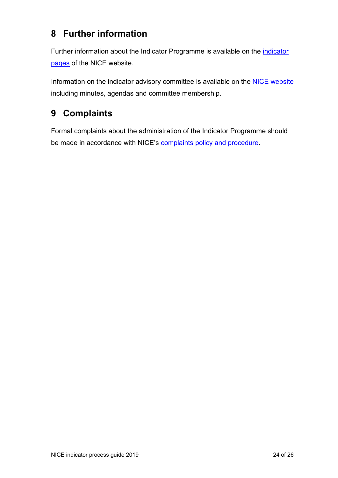## <span id="page-23-0"></span>**8 Further information**

Further information about the Indicator Programme is available on the *[indicator](https://www.nice.org.uk/standards-and-indicators)* [pages](https://www.nice.org.uk/standards-and-indicators) of the NICE website.

Information on the indicator advisory committee is available on the **NICE website** including minutes, agendas and committee membership.

## <span id="page-23-1"></span>**9 Complaints**

Formal complaints about the administration of the Indicator Programme should be made in accordance with NICE's [complaints policy and procedure.](https://www.nice.org.uk/Media/Default/About/Who-we-are/Policies-and-procedures/General-Complaints-Policy-Procedure-Nov15.pdf)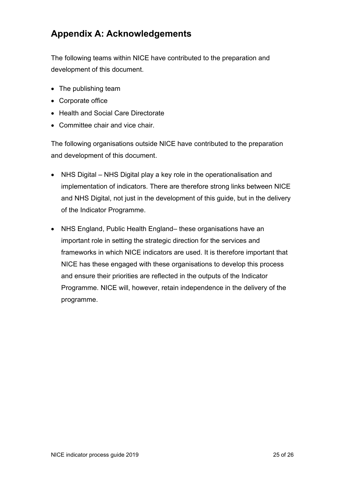## <span id="page-24-0"></span>**Appendix A: Acknowledgements**

The following teams within NICE have contributed to the preparation and development of this document.

- The publishing team
- Corporate office
- Health and Social Care Directorate
- Committee chair and vice chair.

The following organisations outside NICE have contributed to the preparation and development of this document.

- NHS Digital NHS Digital play a key role in the operationalisation and implementation of indicators. There are therefore strong links between NICE and NHS Digital, not just in the development of this guide, but in the delivery of the Indicator Programme.
- <span id="page-24-1"></span>• NHS England, Public Health England– these organisations have an important role in setting the strategic direction for the services and frameworks in which NICE indicators are used. It is therefore important that NICE has these engaged with these organisations to develop this process and ensure their priorities are reflected in the outputs of the Indicator Programme. NICE will, however, retain independence in the delivery of the programme.